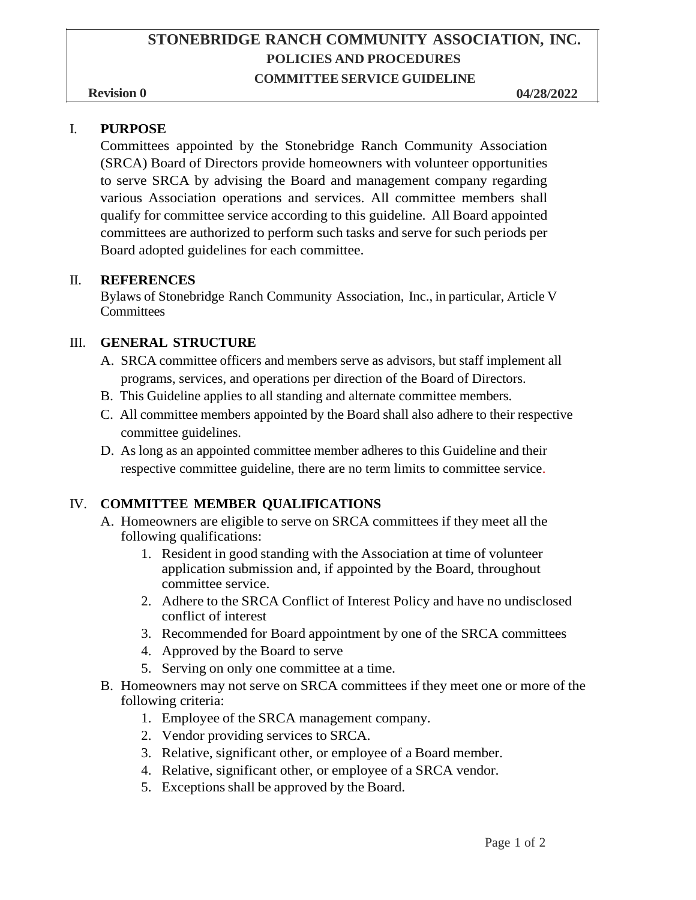## **STONEBRIDGE RANCH COMMUNITY ASSOCIATION, INC. POLICIES AND PROCEDURES**

#### **COMMITTEE SERVICE GUIDELINE**

#### I. **PURPOSE**

Committees appointed by the Stonebridge Ranch Community Association (SRCA) Board of Directors provide homeowners with volunteer opportunities to serve SRCA by advising the Board and management company regarding various Association operations and services. All committee members shall qualify for committee service according to this guideline. All Board appointed committees are authorized to perform such tasks and serve for such periods per Board adopted guidelines for each committee.

#### II. **REFERENCES**

Bylaws of Stonebridge Ranch Community Association, Inc., in particular, Article V **Committees** 

#### III. **GENERAL STRUCTURE**

- A. SRCA committee officers and members serve as advisors, but staff implement all programs, services, and operations per direction of the Board of Directors.
- B. This Guideline applies to all standing and alternate committee members.
- C. All committee members appointed by the Board shall also adhere to their respective committee guidelines.
- D. As long as an appointed committee member adheres to this Guideline and their respective committee guideline, there are no term limits to committee service.

#### IV. **COMMITTEE MEMBER QUALIFICATIONS**

- A. Homeowners are eligible to serve on SRCA committees if they meet all the following qualifications:
	- 1. Resident in good standing with the Association at time of volunteer application submission and, if appointed by the Board, throughout committee service.
	- 2. Adhere to the SRCA Conflict of Interest Policy and have no undisclosed conflict of interest
	- 3. Recommended for Board appointment by one of the SRCA committees
	- 4. Approved by the Board to serve
	- 5. Serving on only one committee at a time.
- B. Homeowners may not serve on SRCA committees if they meet one or more of the following criteria:
	- 1. Employee of the SRCA management company.
	- 2. Vendor providing services to SRCA.
	- 3. Relative, significant other, or employee of a Board member.
	- 4. Relative, significant other, or employee of a SRCA vendor.
	- 5. Exceptions shall be approved by the Board.